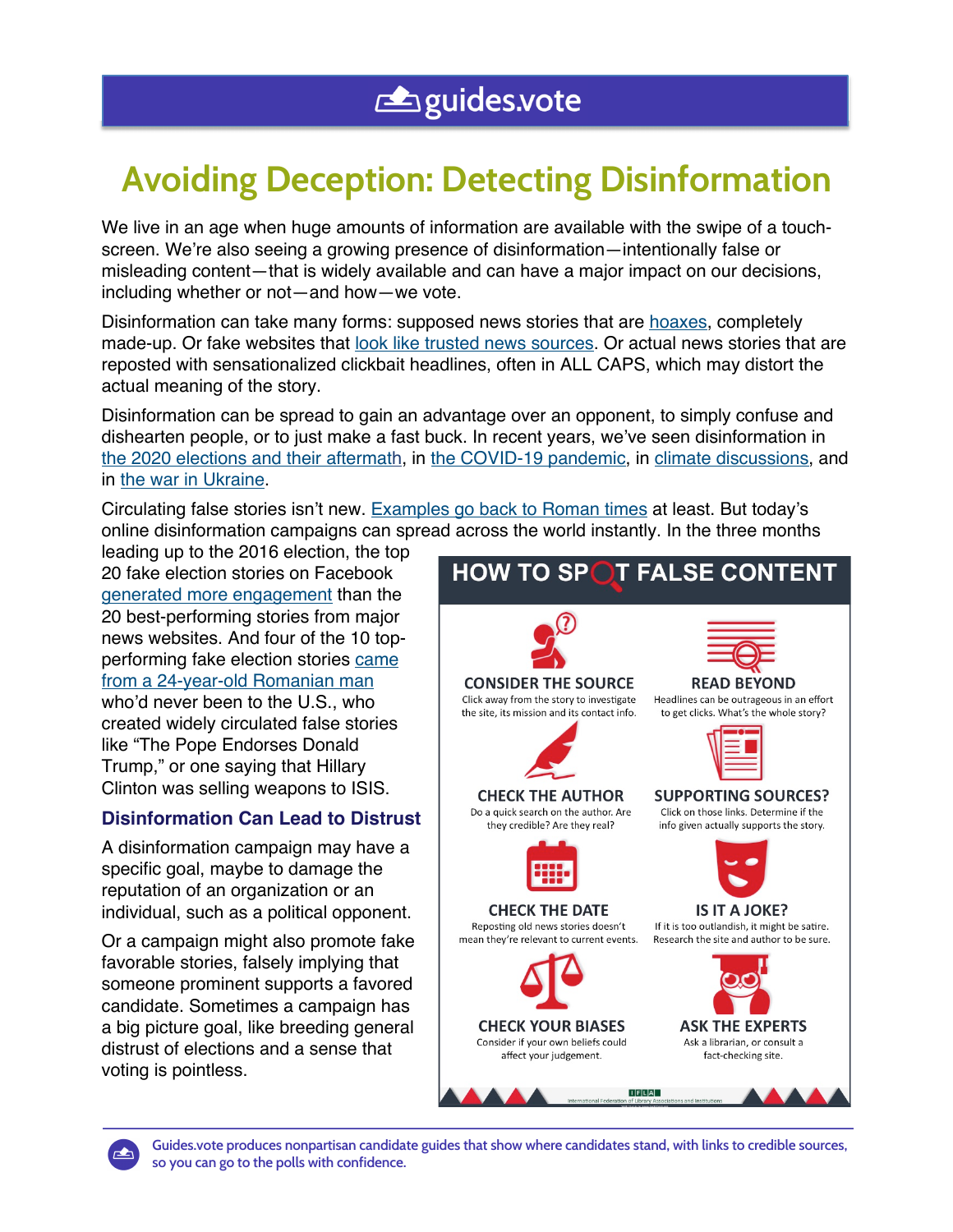# **Avoiding Deception: Detecting Disinformation**

We live in an age when huge amounts of information are available with the swipe of a touchscreen. We're also seeing a growing presence of disinformation—intentionally false or misleading content—that is widely available and can have a major impact on our decisions, including whether or not—and how—we vote.

Disinformation can take many forms: supposed news stories that are hoaxes, completely made-up. Or fake websites that look like trusted news sources. Or actual news stories that are reposted with sensationalized clickbait headlines, often in ALL CAPS, which may distort the actual meaning of the story.

Disinformation can be spread to gain an advantage over an opponent, to simply confuse and dishearten people, or to just make a fast buck. In recent years, we've seen disinformation in the 2020 elections and their aftermath, in the COVID-19 pandemic, in climate discussions, and in the war in Ukraine.

Circulating false stories isn't new. Examples go back to Roman times at least. But today's online disinformation campaigns can spread across the world instantly. In the three months

leading up to the 2016 election, the top 20 fake election stories on Facebook generated more engagement than the 20 best-performing stories from major news websites. And four of the 10 topperforming fake election stories came from a 24-year-old Romanian man who'd never been to the U.S., who created widely circulated false stories like "The Pope Endorses Donald Trump," or one saying that Hillary Clinton was selling weapons to ISIS.

**8a3a66a9**

## **Disinformation Can Lead to Distrust**

A disinformation campaign may have a specific goal, maybe to damage the reputation of an organization or an individual, such as a political opponent.

Or a campaign might also promote fake favorable stories, falsely implying that someone prominent supports a favored candidate. Sometimes a campaign has a big picture goal, like breeding general distrust of elections and a sense that voting is pointless.





**Guides.vote produces nonpartisan candidate guides that show where candidates stand, with links to credible sources, so you can go to the polls with confidence.**